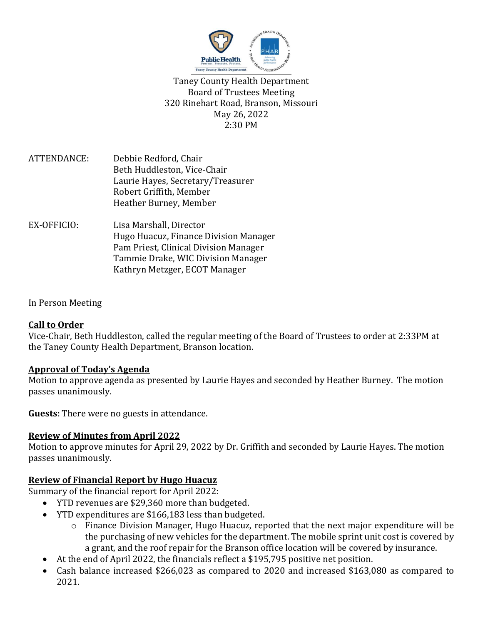

Taney County Health Department Board of Trustees Meeting 320 Rinehart Road, Branson, Missouri May 26, 2022 2:30 PM

- ATTENDANCE: Debbie Redford, Chair Beth Huddleston, Vice-Chair Laurie Hayes, Secretary/Treasurer Robert Griffith, Member Heather Burney, Member
- EX-OFFICIO: Lisa Marshall, Director Hugo Huacuz, Finance Division Manager Pam Priest, Clinical Division Manager Tammie Drake, WIC Division Manager Kathryn Metzger, ECOT Manager

### In Person Meeting

### **Call to Order**

Vice-Chair, Beth Huddleston, called the regular meeting of the Board of Trustees to order at 2:33PM at the Taney County Health Department, Branson location.

### **Approval of Today's Agenda**

Motion to approve agenda as presented by Laurie Hayes and seconded by Heather Burney. The motion passes unanimously.

**Guests**: There were no guests in attendance.

## **Review of Minutes from April 2022**

Motion to approve minutes for April 29, 2022 by Dr. Griffith and seconded by Laurie Hayes. The motion passes unanimously.

## **Review of Financial Report by Hugo Huacuz**

Summary of the financial report for April 2022:

- YTD revenues are \$29,360 more than budgeted.
- YTD expenditures are \$166,183 less than budgeted.
	- o Finance Division Manager, Hugo Huacuz, reported that the next major expenditure will be the purchasing of new vehicles for the department. The mobile sprint unit cost is covered by a grant, and the roof repair for the Branson office location will be covered by insurance.
- At the end of April 2022, the financials reflect a \$195,795 positive net position.
- Cash balance increased \$266,023 as compared to 2020 and increased \$163,080 as compared to 2021.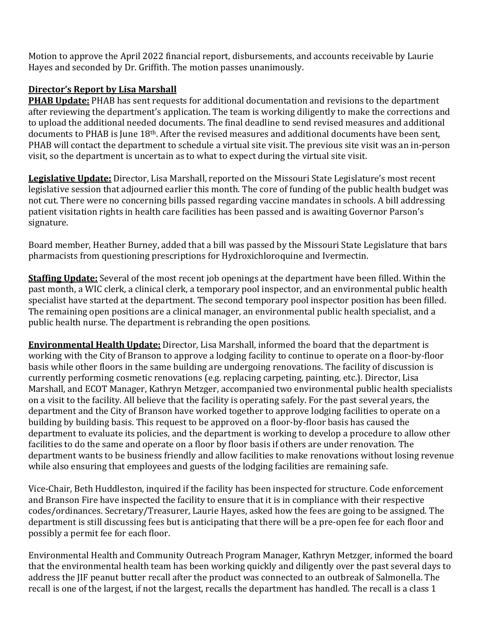Motion to approve the April 2022 financial report, disbursements, and accounts receivable by Laurie Hayes and seconded by Dr. Griffith. The motion passes unanimously.

# **Director's Report by Lisa Marshall**

**PHAB Update:** PHAB has sent requests for additional documentation and revisions to the department after reviewing the department's application. The team is working diligently to make the corrections and to upload the additional needed documents. The final deadline to send revised measures and additional documents to PHAB is June 18th. After the revised measures and additional documents have been sent, PHAB will contact the department to schedule a virtual site visit. The previous site visit was an in-person visit, so the department is uncertain as to what to expect during the virtual site visit.

**Legislative Update:** Director, Lisa Marshall, reported on the Missouri State Legislature's most recent legislative session that adjourned earlier this month. The core of funding of the public health budget was not cut. There were no concerning bills passed regarding vaccine mandates in schools. A bill addressing patient visitation rights in health care facilities has been passed and is awaiting Governor Parson's signature.

Board member, Heather Burney, added that a bill was passed by the Missouri State Legislature that bars pharmacists from questioning prescriptions for Hydroxichloroquine and Ivermectin.

**Staffing Update:** Several of the most recent job openings at the department have been filled. Within the past month, a WIC clerk, a clinical clerk, a temporary pool inspector, and an environmental public health specialist have started at the department. The second temporary pool inspector position has been filled. The remaining open positions are a clinical manager, an environmental public health specialist, and a public health nurse. The department is rebranding the open positions.

**Environmental Health Update:** Director, Lisa Marshall, informed the board that the department is working with the City of Branson to approve a lodging facility to continue to operate on a floor-by-floor basis while other floors in the same building are undergoing renovations. The facility of discussion is currently performing cosmetic renovations (e.g. replacing carpeting, painting, etc.). Director, Lisa Marshall, and ECOT Manager, Kathryn Metzger, accompanied two environmental public health specialists on a visit to the facility. All believe that the facility is operating safely. For the past several years, the department and the City of Branson have worked together to approve lodging facilities to operate on a building by building basis. This request to be approved on a floor-by-floor basis has caused the department to evaluate its policies, and the department is working to develop a procedure to allow other facilities to do the same and operate on a floor by floor basis if others are under renovation. The department wants to be business friendly and allow facilities to make renovations without losing revenue while also ensuring that employees and guests of the lodging facilities are remaining safe.

Vice-Chair, Beth Huddleston, inquired if the facility has been inspected for structure. Code enforcement and Branson Fire have inspected the facility to ensure that it is in compliance with their respective codes/ordinances. Secretary/Treasurer, Laurie Hayes, asked how the fees are going to be assigned. The department is still discussing fees but is anticipating that there will be a pre-open fee for each floor and possibly a permit fee for each floor.

Environmental Health and Community Outreach Program Manager, Kathryn Metzger, informed the board that the environmental health team has been working quickly and diligently over the past several days to address the JIF peanut butter recall after the product was connected to an outbreak of Salmonella. The recall is one of the largest, if not the largest, recalls the department has handled. The recall is a class 1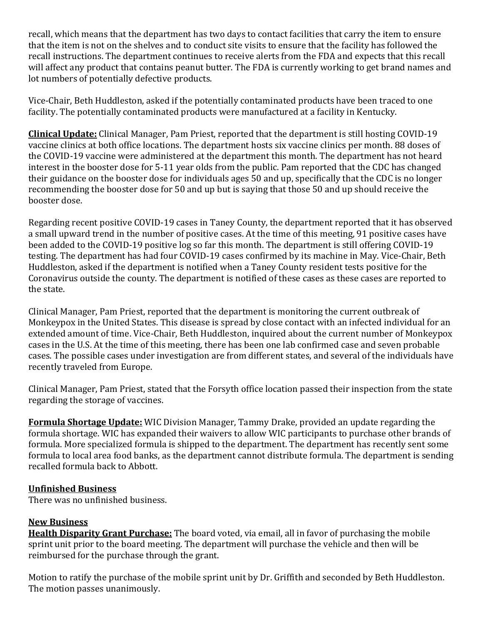recall, which means that the department has two days to contact facilities that carry the item to ensure that the item is not on the shelves and to conduct site visits to ensure that the facility has followed the recall instructions. The department continues to receive alerts from the FDA and expects that this recall will affect any product that contains peanut butter. The FDA is currently working to get brand names and lot numbers of potentially defective products.

Vice-Chair, Beth Huddleston, asked if the potentially contaminated products have been traced to one facility. The potentially contaminated products were manufactured at a facility in Kentucky.

**Clinical Update:** Clinical Manager, Pam Priest, reported that the department is still hosting COVID-19 vaccine clinics at both office locations. The department hosts six vaccine clinics per month. 88 doses of the COVID-19 vaccine were administered at the department this month. The department has not heard interest in the booster dose for 5-11 year olds from the public. Pam reported that the CDC has changed their guidance on the booster dose for individuals ages 50 and up, specifically that the CDC is no longer recommending the booster dose for 50 and up but is saying that those 50 and up should receive the booster dose.

Regarding recent positive COVID-19 cases in Taney County, the department reported that it has observed a small upward trend in the number of positive cases. At the time of this meeting, 91 positive cases have been added to the COVID-19 positive log so far this month. The department is still offering COVID-19 testing. The department has had four COVID-19 cases confirmed by its machine in May. Vice-Chair, Beth Huddleston, asked if the department is notified when a Taney County resident tests positive for the Coronavirus outside the county. The department is notified of these cases as these cases are reported to the state.

Clinical Manager, Pam Priest, reported that the department is monitoring the current outbreak of Monkeypox in the United States. This disease is spread by close contact with an infected individual for an extended amount of time. Vice-Chair, Beth Huddleston, inquired about the current number of Monkeypox cases in the U.S. At the time of this meeting, there has been one lab confirmed case and seven probable cases. The possible cases under investigation are from different states, and several of the individuals have recently traveled from Europe.

Clinical Manager, Pam Priest, stated that the Forsyth office location passed their inspection from the state regarding the storage of vaccines.

**Formula Shortage Update:** WIC Division Manager, Tammy Drake, provided an update regarding the formula shortage. WIC has expanded their waivers to allow WIC participants to purchase other brands of formula. More specialized formula is shipped to the department. The department has recently sent some formula to local area food banks, as the department cannot distribute formula. The department is sending recalled formula back to Abbott.

### **Unfinished Business**

There was no unfinished business.

## **New Business**

**Health Disparity Grant Purchase:** The board voted, via email, all in favor of purchasing the mobile sprint unit prior to the board meeting. The department will purchase the vehicle and then will be reimbursed for the purchase through the grant.

Motion to ratify the purchase of the mobile sprint unit by Dr. Griffith and seconded by Beth Huddleston. The motion passes unanimously.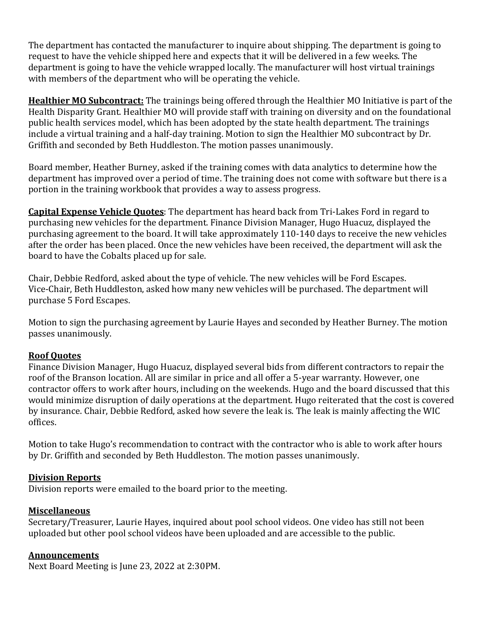The department has contacted the manufacturer to inquire about shipping. The department is going to request to have the vehicle shipped here and expects that it will be delivered in a few weeks. The department is going to have the vehicle wrapped locally. The manufacturer will host virtual trainings with members of the department who will be operating the vehicle.

**Healthier MO Subcontract:** The trainings being offered through the Healthier MO Initiative is part of the Health Disparity Grant. Healthier MO will provide staff with training on diversity and on the foundational public health services model, which has been adopted by the state health department. The trainings include a virtual training and a half-day training. Motion to sign the Healthier MO subcontract by Dr. Griffith and seconded by Beth Huddleston. The motion passes unanimously.

Board member, Heather Burney, asked if the training comes with data analytics to determine how the department has improved over a period of time. The training does not come with software but there is a portion in the training workbook that provides a way to assess progress.

**Capital Expense Vehicle Quotes**: The department has heard back from Tri-Lakes Ford in regard to purchasing new vehicles for the department. Finance Division Manager, Hugo Huacuz, displayed the purchasing agreement to the board. It will take approximately 110-140 days to receive the new vehicles after the order has been placed. Once the new vehicles have been received, the department will ask the board to have the Cobalts placed up for sale.

Chair, Debbie Redford, asked about the type of vehicle. The new vehicles will be Ford Escapes. Vice-Chair, Beth Huddleston, asked how many new vehicles will be purchased. The department will purchase 5 Ford Escapes.

Motion to sign the purchasing agreement by Laurie Hayes and seconded by Heather Burney. The motion passes unanimously.

### **Roof Quotes**

Finance Division Manager, Hugo Huacuz, displayed several bids from different contractors to repair the roof of the Branson location. All are similar in price and all offer a 5-year warranty. However, one contractor offers to work after hours, including on the weekends. Hugo and the board discussed that this would minimize disruption of daily operations at the department. Hugo reiterated that the cost is covered by insurance. Chair, Debbie Redford, asked how severe the leak is. The leak is mainly affecting the WIC offices.

Motion to take Hugo's recommendation to contract with the contractor who is able to work after hours by Dr. Griffith and seconded by Beth Huddleston. The motion passes unanimously.

### **Division Reports**

Division reports were emailed to the board prior to the meeting.

## **Miscellaneous**

Secretary/Treasurer, Laurie Hayes, inquired about pool school videos. One video has still not been uploaded but other pool school videos have been uploaded and are accessible to the public.

## **Announcements**

Next Board Meeting is June 23, 2022 at 2:30PM.